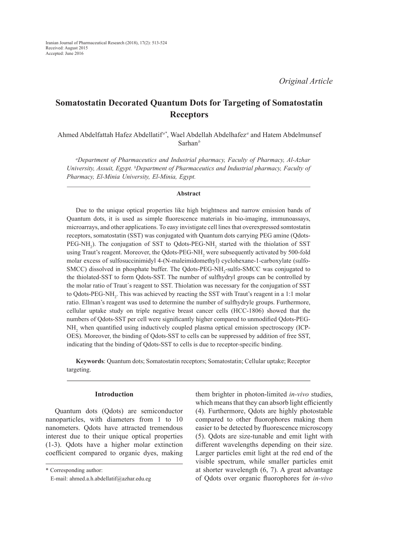# **Somatostatin Decorated Quantum Dots for Targeting of Somatostatin Receptors**

Ahmed Abdelfattah Hafez Abdellatif *a\**, Wael Abdellah Abdelhafez*<sup>a</sup>* and Hatem Abdelmunsef Sarhan*<sup>b</sup>*

*a Department of Pharmaceutics and Industrial pharmacy, Faculty of Pharmacy, Al-Azhar University, Assuit, Egypt. b Department of Pharmaceutics and Industrial pharmacy, Faculty of Pharmacy, El-Minia University, El-Minia, Egypt.*

#### **Abstract**

Due to the unique optical properties like high brightness and narrow emission bands of Quantum dots, it is used as simple fluorescence materials in bio-imaging, immunoassays, microarrays, and other applications. To easy invistigate cell lines that overexpressed somtostatin receptors, somatostatin (SST) was conjugated with Quantum dots carrying PEG amine (Qdots- $PEG-NH_2$ ). The conjugation of SST to Qdots-PEG-NH<sub>2</sub> started with the thiolation of SST using Traut's reagent. Moreover, the Qdots-PEG-NH<sub>2</sub> were subsequently activated by 500-fold molar excess of sulfosuccinimidyl 4-(N-maleimidomethyl) cyclohexane-1-carboxylate (sulfo-SMCC) dissolved in phosphate buffer. The Qdots-PEG-NH<sub>2</sub>-sulfo-SMCC was conjugated to the thiolated-SST to form Qdots-SST. The number of sulfhydryl groups can be controlled by the molar ratio of Traut´s reagent to SST. Thiolation was necessary for the conjugation of SST to Qdots-PEG-NH<sub>2</sub>. This was achieved by reacting the SST with Traut's reagent in a 1:1 molar ratio. Ellman's reagent was used to determine the number of sulfhydryle groups. Furthermore, cellular uptake study on triple negative breast cancer cells (HCC-1806) showed that the numbers of Qdots-SST per cell were significantly higher compared to unmodified Qdots-PEG-NH<sub>2</sub> when quantified using inductively coupled plasma optical emission spectroscopy (ICP-OES). Moreover, the binding of Qdots-SST to cells can be suppressed by addition of free SST, indicating that the binding of Qdots-SST to cells is due to receptor-specific binding.

**Keywords**: Quantum dots; Somatostatin receptors; Somatostatin; Cellular uptake; Receptor targeting.

## **Introduction**

Quantum dots (Qdots) are semiconductor nanoparticles, with diameters from 1 to 10 nanometers. Qdots have attracted tremendous interest due to their unique optical properties (1-3). Qdots have a higher molar extinction coefficient compared to organic dyes, making

\* Corresponding author:

them brighter in photon-limited *in-vivo* studies, which means that they can absorb light efficiently (4). Furthermore, Qdots are highly photostable compared to other fluorophores making them easier to be detected by fluorescence microscopy (5). Qdots are size-tunable and emit light with different wavelengths depending on their size. Larger particles emit light at the red end of the visible spectrum, while smaller particles emit at shorter wavelength (6, 7). A great advantage of Qdots over organic fluorophores for *in-vivo*

E-mail: ahmed.a.h.abdellatif@azhar.edu.eg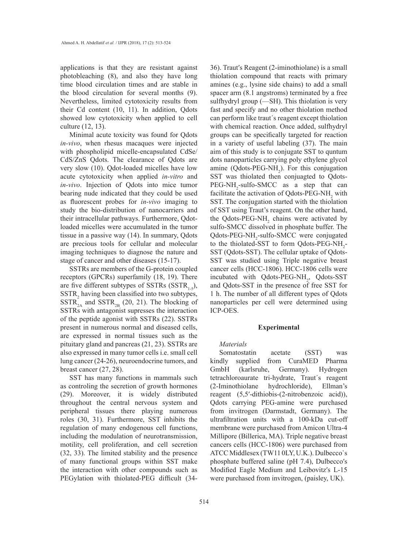applications is that they are resistant against photobleaching (8), and also they have long time blood circulation times and are stable in the blood circulation for several months (9). Nevertheless, limited cytotoxicity results from their Cd content (10, 11). In addition, Qdots showed low cytotoxicity when applied to cell culture (12, 13).

Minimal acute toxicity was found for Qdots *in-vivo*, when rhesus macaques were injected with phospholipid micelle-encapsulated CdSe/ CdS/ZnS Qdots. The clearance of Qdots are very slow (10). Qdot-loaded micelles have low acute cytotoxicity when applied *in-vitro* and *in-vivo*. Injection of Qdots into mice tumor bearing nude indicated that they could be used as fluorescent probes for *in-vivo* imaging to study the bio-distribution of nanocarriers and their intracellular pathways. Furthermore, Qdotloaded micelles were accumulated in the tumor tissue in a passive way (14). In summary, Qdots are precious tools for cellular and molecular imaging techniques to diagnose the nature and stage of cancer and other diseases (15-17).

SSTRs are members of the G-protein coupled receptors (GPCRs) superfamily (18, 19). There are five different subtypes of SSTRs (SSTR<sub>1-5</sub>),  $SSTR<sub>2</sub>$  having been classified into two subtypes,  $SSTR<sub>2A</sub><sub>2A</sub>$  and  $SSTR<sub>2B</sub>$  (20, 21). The blocking of SSTRs with antagonist supresses the interaction of the peptide agonist with SSTRs (22). SSTRs present in numerous normal and diseased cells, are expressed in normal tissues such as the pituitary gland and pancreas (21, 23). SSTRs are also expressed in many tumor cells i.e. small cell lung cancer (24-26), neuroendocrine tumors, and breast cancer (27, 28).

SST has many functions in mammals such as controling the secretion of growth hormones (29). Moreover, it is widely distributed throughout the central nervous system and peripheral tissues there playing numerous roles (30, 31). Furthermore, SST inhibits the regulation of many endogenous cell functions, including the modulation of neurotransmission, motility, cell proliferation, and cell secretion (32, 33). The limited stability and the presence of many functional groups within SST make the interaction with other compounds such as PEGylation with thiolated-PEG difficult (3436). Trautʹs Reagent (2-iminothiolane) is a small thiolation compound that reacts with primary amines (e.g., lysine side chains) to add a small spacer arm (8.1 angstroms) terminated by a free sulfhydryl group (—SH). This thiolation is very fast and specify and no other thiolation method can perform like traut´s reagent except thiolation with chemical reaction. Once added, sulfhydryl groups can be specifically targeted for reaction in a variety of useful labeling (37). The main aim of this study is to conjugate SST to quntum dots nanoparticles carrying poly ethylene glycol amine ( $\text{Qdots-PEG-NH}_2$ ). For this conjugation SST was thiolated then conjuagted to Qdots- $PEG-NH_2$ -sulfo-SMCC as a step that can facilitate the activation of Qdots-PEG-NH<sub>2</sub> with SST. The conjugation started with the thiolation of SST using Traut's reagent. On the other hand, the Qdots-PEG-NH<sub>2</sub> chains were activated by sulfo-SMCC dissolved in phosphate buffer. The Qdots-PEG-NH<sub>2</sub>-sulfo-SMCC were conjugated to the thiolated-SST to form Qdots-PEG-NH<sub>2</sub>-SST (Qdots-SST). The cellular uptake of Qdots-SST was studied using Triple negative breast cancer cells (HCC-1806). HCC-1806 cells were incubated with Qdots-PEG-NH<sub>2</sub>, Qdots-SST and Qdots-SST in the presence of free SST for 1 h. The number of all different types of Qdots nanoparticles per cell were determined using ICP-OES.

### **Experimental**

### *Materials*

Somatostatin acetate (SST) was kindly supplied from CuraMED Pharma GmbH (karlsruhe, Germany). Hydrogen tetrachloroaurate tri-hydrate, Traut´s reagent (2-Iminothiolane hydrochloride), Ellman's reagent (5,5ʹ-dithiobis-(2-nitrobenzoic acid)), Qdots carrying PEG-amine were purchased from invitrogen (Darmstadt, Germany). The ultrafiltration units with a 100-kDa cut-off membrane were purchased from Amicon Ultra-4 Millipore (Billerica, MA). Triple negative breast cancers cells (HCC-1806) were purchased from ATCC Middlesex (TW11 0LY, U.K.). Dulbecco`s phosphate buffered saline (pH 7.4), Dulbeccoʹs Modified Eagle Medium and Leibovitz′s L-15 were purchased from invitrogen, (paisley, UK).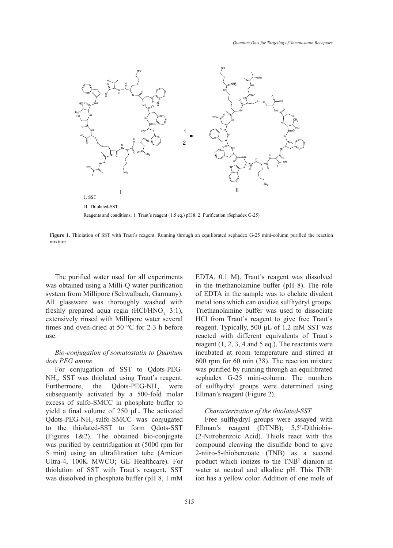

Reagents and conditions; 1. Traut´s reagent (1.5 eq.) pH 8; 2. Purification (Sephadex G-25).

Figure 1. Thiolation of SST with Traut's reagent. Running through an equilibrated sephadex G-25 mini-column purified the reaction mixture.

The purified water used for all experiments was obtained using a Milli-Q water purification system from Millipore (Schwalbach, Garmany). All glassware was thoroughly washed with freshly prepared aqua regia (HCl/HNO<sub>3</sub> 3:1), extensively rinsed with Millipore water several times and oven-dried at 50 °C for 2-3 h before use.

# *Bio-conjugation of somatostatin to Quantum dots PEG amine*

For conjugation of SST to Qdots-PEG-NH<sub>2</sub>, SST was thiolated using Traut's reagent. Furthermore, the Qdots-PEG-NH<sub>2</sub> were subsequently activated by a 500-fold molar excess of sulfo-SMCC in phosphate buffer to yield a final volume of 250 μL. The activated Qdots-PEG-NH<sub>2</sub>-sulfo-SMCC was conjugated to the thiolated-SST to form Qdots-SST (Figures 1&2). The obtained bio-conjugate was purified by centrifugation at (5000 rpm for 5 min) using an ultrafiltration tube (Amicon Ultra-4, 100K MWCO; GE Healthcare). For thiolation of SST with Traut´s reagent, SST was dissolved in phosphate buffer (pH 8, 1 mM

EDTA, 0.1 M). Traut´s reagent was dissolved in the triethanolamine buffer (pH 8). The role of EDTA in the sample was to chelate divalent metal ions which can oxidize sulfhydryl groups. Triethanolamine buffer was used to dissociate HCl from Traut´s reagent to give free Traut´s reagent. Typically, 500 µL of 1.2 mM SST was reacted with different equivalents of Traut´s reagent  $(1, 2, 3, 4$  and  $5$  eq.). The reactants were incubated at room temperature and stirred at 600 rpm for 60 min (38). The reaction mixture was purified by running through an equilibrated sephadex G-25 mini-column. The numbers of sulfhydryl groups were determined using Ellman's reagent (Figure 2).

## *Characterization of the thiolated-SST*

Free sulfhydryl groups were assayed with Ellman's reagent (DTNB); 5,5ʹ-Dithiobis- (2-Nitrobenzoic Acid). Thiols react with this compound cleaving the disulfide bond to give 2-nitro-5-thiobenzoate (TNB) as a second 6 product which ionizes to the TNB<sup>2</sup> dianion in water at neutral and alkaline pH. This TNB<sup>2</sup> ion has a yellow color. Addition of one mole of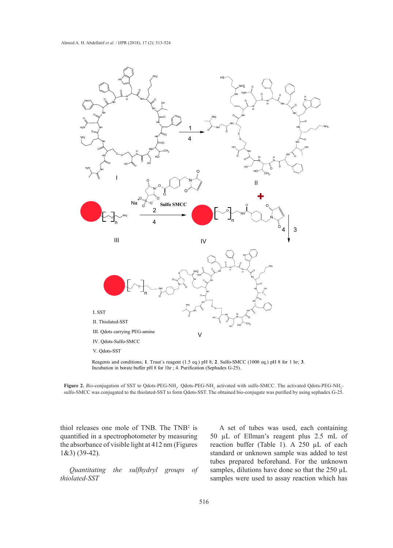

Reagents and conditions; **1**. Traut´s reagent (1.5 eq.) pH 8; **2**. Sulfo-SMCC (1000 eq.) pH 8 for 1 hr; **3**. Incubation in borate buffer pH 8 for 1hr ; 4. Purification (Sephadex G-25).

**Figure 2.** *Bio*-conjugation of SST to Qdots-PEG-NH<sub>2</sub>. Qdots-PEG-NH<sub>2</sub> activated with sulfo-SMCC. The activated Qdots-PEG-NH<sub>2</sub>sulfo-SMCC was conjugated to the thiolated-SST to form Qdots-SST. The obtained bio-conjugate was purified by using sephadex G-25.

thiol releases one mole of TNB. The  $TNB<sup>2</sup>$  is quantified in a spectrophotometer by measuring the absorbance of visible light at 412 nm (Figures 1&3) (39-42).

*Quantitating the sulfhydryl groups of thiolated-SST*

A set of tubes was used, each containing 50 µL of Ellman's reagent plus 2.5 mL of reaction buffer (Table 1). A 250  $\mu$ L of each standard or unknown sample was added to test tubes prepared beforehand. For the unknown samples, dilutions have done so that the 250  $\mu$ L samples were used to assay reaction which has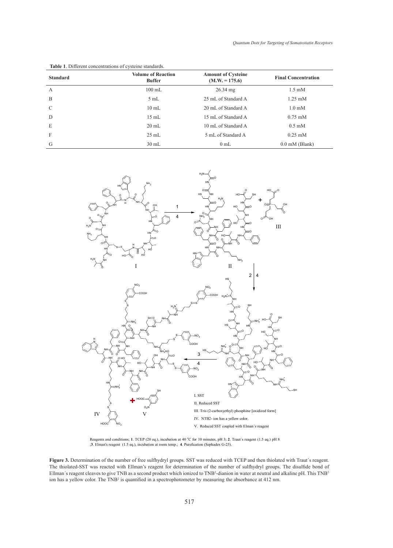| <b>Standard</b> | <b>Volume of Reaction</b><br><b>Buffer</b> | <b>Amount of Cysteine</b><br>$(M.W. = 175.6)$ | <b>Final Concentration</b> |
|-----------------|--------------------------------------------|-----------------------------------------------|----------------------------|
| $\mathbf{A}$    | $100$ mL                                   | $26.34 \text{ mg}$                            | $1.5 \text{ mM}$           |
| B               | 5mL                                        | 25 mL of Standard A                           | $1.25 \text{ mM}$          |
| C               | $10 \text{ mL}$                            | 20 mL of Standard A                           | $1.0 \text{ mM}$           |
| D               | $15 \text{ mL}$                            | 15 mL of Standard A                           | $0.75$ mM                  |
| E               | $20 \text{ mL}$                            | 10 mL of Standard A                           | $0.5 \text{ mM}$           |
| F               | $25 \text{ mL}$                            | 5 mL of Standard A                            | $0.25$ mM                  |
| G               | $30 \text{ mL}$                            | $0 \text{ mL}$                                | $0.0$ mM (Blank)           |

**Table 1**. Different concentrations of cysteine standards.



Reagents and conditions; 1. TCEP (20 eq.), incubation at 40 °C for 10 minutes, pH 3; 2. Traut's reagent (1.5 eq.) pH 8 ;**3**. Elman's reagent (1.5 eq.), incubation at room temp.; **4**. Purefication (Sephadex G-25).

Figure 3. Determination of the number of free sulfhydryl groups. SST was reduced with TCEP and then thiolated with Traut's reagent. The thiolated-SST was reacted with Ellman's reagent for determination of the number of sulfhydryl groups. The disulfide bond of Ellman's reagent cleaves to give TNB as a second product which ionized to TNB<sup>2</sup>-dianion in water at neutral and alkaline pH. This TNB<sup>2</sup> ion has a yellow color. The TNB<sup>2</sup> is quantified in a spectrophotometer by measuring the absorbance at  $412$  nm.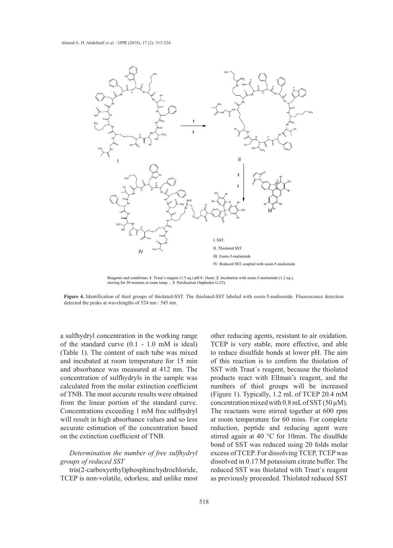

Reagents and conditions; **1**. Traut´s reagent (1.5 eq.) pH 8: 1hour; **2**. Incubation with eosin-5-maliemide (1.2 eq.), stirring for 30 minutes at room temp. ; **3**. Purification (Sephadex G-25).

**Figure 4.** Identification of thiol groups of thiolated-SST. The thiolated-SST labeled with eosin-5-maliemide. Fluorescence detection detected the peaks at wavelengths of 524 nm / 545 nm.

a sulfhydryl concentration in the working range of the standard curve (0.1 - 1.0 mM is ideal) (Table 1). The content of each tube was mixed to reduce disulfide bonds at lower pH. T and incubated at room temperature for 15 min of this reaction is to confirm the thiolar and absorbance was measured at 412 nm. The concentration of sulfhydryls in the sample was products react with Ellman's reagent, and concentration of sulfhydryls in the sample was products react with Ellman's reagent, a calculated from the molar extinction coefficient numbers of thiol groups will be inc of TNB. The most accurate results were obtained (Figure 1). Typically, 1.2 from the linear portion of the standard curve. Concentrations exceeding 1 mM free sulfhydryl will result in high absorbance values and so less accurate estimation of the concentration based on the extinction coefficient of TNB.

# *Determination the number of free sulfhydryl groups of reduced SST*

tris(2-carboxyethyl)phosphine hydrochloride, TCEP is non-volatile, odorless, and unlike most

other reducing agents, resistant to air oxidation. nadard curve (0.1 - 1.0 mM is ideal) TCEP is very stable, more effective, and able negative breast cancers cell to reduce disulfide bonds at lower pH. The aim of this reaction is to confirm the thiolation of SST with Traut´s reagent, because the thiolated products react with Ellman's reagent, and the numbers of thiol groups will be increased (Figure 1). Typically, 1.2 mL of TCEP 20.4 mM concentration mixed with  $0.8$  mL of SST (50  $\mu$ M). The reactants were stirred together at 600 rpm at room temperature for 60 mins. For complete reduction, peptide and reducing agent were stirred again at 40 °C for 10min. The disulfide bond of SST was reduced using 20 folds molar excess of TCEP. For dissolving TCEP, TCEP was dissolved in 0.17 M potassium citrate buffer. The reduced SST was thiolated with Traut´s reagent as previously proceeded. Thiolated reduced SST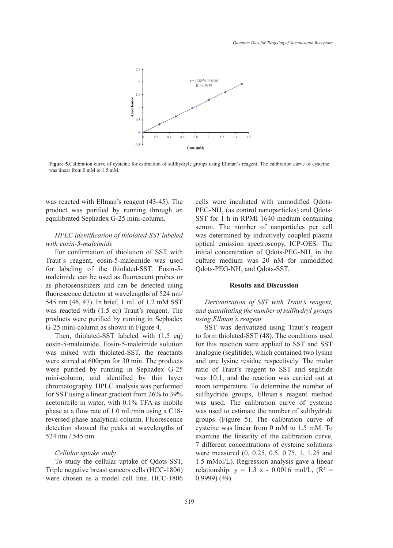

Figure 5. Calibration curve of cysteine for estimation of sulfhydryle groups using Ellman's reagent. The calibration curve of cysteine was linear from 0 mM to 1.5 mM.

was reacted with Ellman's reagent (43-45). The product was purified by running through an equilibrated Sephadex G-25 mini-column.

# *HPLC identification of thiolated-SST labeled with eosin-5-maleimide*

For confirmation of thiolation of SST with Traut´s reagent, eosin-5-maleimide was used for labeling of the thiolated-SST. Eosin-5 maleimide can be used as fluorescent probes or as photosensitizers and can be detected using fluorescence detector at wavelengths of 524 nm/ 545 nm (46, 47). In brief, 1 mL of 1.2 mM SST was reacted with (1.5 eq) Traut's reagent. The products were purified by running in Sephadex G-25 mini-column as shown in Figure 4.

Then, thiolated-SST labeled with (1.5 eq) eosin-5-maleimide. Eosin-5-maleimide solution was mixed with thiolated-SST, the reactants were stirred at 600rpm for 30 min. The products were purified by running in Sephadex G-25 mini-column, and identified by thin layer chromatography. HPLC analysis was performed for SST using a linear gradient from 26% to 39% acetonitrile in water, with 0.1% TFA as mobile phase at a flow rate of 1.0 mL/min using a C18 reversed phase analytical column. Fluorescence detection showed the peaks at wavelengths of 524 nm / 545 nm. eosin-5-maleimide. Eosin-5-maleimide solution for this reaction were applied to SST and SST were stirred at 600rpm for 30 min. The products and one lysine residue respectively. The molar were parmed by running in Sephadex  $\sigma$  25 min or ridate reaction was carried out at mini-column, and identified by thin layer was 10:1, and the reaction was carried out at chromatography. HPLC analysis was performed room temperature. To determine the number of acetonitrile in water, with 0.1% TFA as mobile was used. The calibration curve of cysteine phase at a now rate of 1.0 me/mm using a C10-<br>reversed phase analytical column. Fluorescence groups (Figure 5). The calibration curve of detection showed the peaks at wavelengths of cysteine was linear from 0 mM to 1.5 mM. To

## *Cellular uptake study*

To study the cellular uptake of Qdots-SST, Triple negative breast cancers cells (HCC-1806) were chosen as a model cell line. HCC-1806 cells were incubated with unmodified Qdots- $\text{PEG-NH}_2$  (as control nanoparticles) and Qdots-SST for 1 h in RPMI 1640 medium containing serum. The number of nanparticles per cell was determined by inductively coupled plasma optical emission spectroscopy, ICP-OES. The initial concentration of  $Q$ dots-PEG-NH<sub>2</sub> in the culture medium was 20 nM for unmodified Qdots-PEG-NH<sub>2</sub> and Qdots-SST.

# **Results and Discussion**

*Derivatization of SST with Traut's reagent, and quantitating the number of sulfhydryl groups using Ellman´s reagent*

SST was derivatized using Traut´s reagent to form thiolated-SST (48). The conditions used analogue (seglitide), which contained two lysine ratio of Traut's reagent to SST and seglitide sulfhydride groups, Ellman's reagent method was used to estimate the number of sulfhydride examine the linearity of the calibration curve, 7 different concentrations of cysteine solutions were measured (0, 0.25, 0.5, 0.75, 1, 1.25 and 1.5 mMol/L). Regression analysis gave a linear relationship:  $y = 1.3 x - 0.0016$  mol/L,  $(R^2 =$ 0.9999) (49).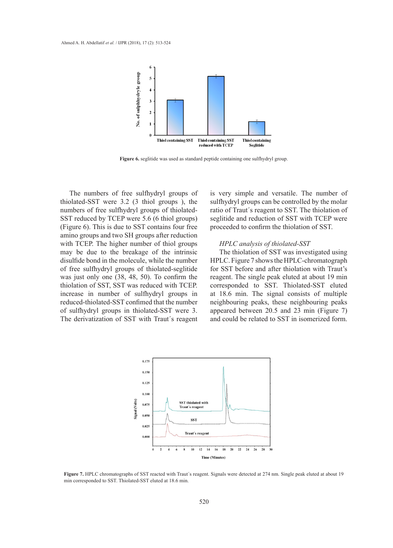

**Figure 6.** seglitide was used as standard peptide containing one sulfhydryl group.

The numbers of free sulfhydryl groups of thiolated-SST were 3.2 (3 thiol groups ), the numbers of free sulfhydryl groups of thiolated-SST reduced by TCEP were 5.6 (6 thiol groups) (Figure 6). This is due to SST contains four free (Figure 0). This is due to SST contains four free proceeded to commit the intollation of SST.<br>amino groups and two SH groups after reduction with TCEP. The higher number of thiol groups HPLC analysis of thiolated-SST may be due to the breakage of the intrinsic disulfide bond in the molecule, while the number of free sulfhydryl groups of thiolated-seglitide was just only one (38, 48, 50). To confirm the thiolation of SST, SST was reduced with TCEP. increase in number of sulfhydryl groups in reduced-thiolated-SST confimed that the number of sulfhydryl groups in thiolated-SST were 3. The derivatization of SST with Traut´s reagent

is very simple and versatile. The number of sulfhydryl groups can be controlled by the molar ratio of Traut´s reagent to SST. The thiolation of SST reduced by TCEP were 5.6 (6 thiol groups) seglitide and reduction of SST with TCEP were proceeded to confirm the thiolation of SST.

## *HPLC analysis of thiolated-SST*

The thiolation of SST was investigated using disulfide bond in the molecule, while the number HPLC. Figure 7 shows the HPLC-chromatograph for SST before and after thiolation with Traut's of the sumiyary groups of unotated-segment and start before and after thiolation with fraut's was just only one (38, 48, 50). To confirm the reagent. The single peak eluted at about 19 min thiolation of SST, SST was reduced with TCEP. corresponded to SST. Thiolated-SST eluted at 18.6 min. The signal consists of multiple reduced thiolated SST confimed that the number in hydrophilicity. The increase in the signal state is the interpret appeared between 20.5 and 23 min (Figure 7) and could be related to SST in isomerized form.



Figure 7. HPLC chromatographs of SST reacted with Traut's reagent. Signals were detected at 274 nm. Single peak eluted at about 19 min corresponded to SST. Thiolated-SST eluted at 18.6 min.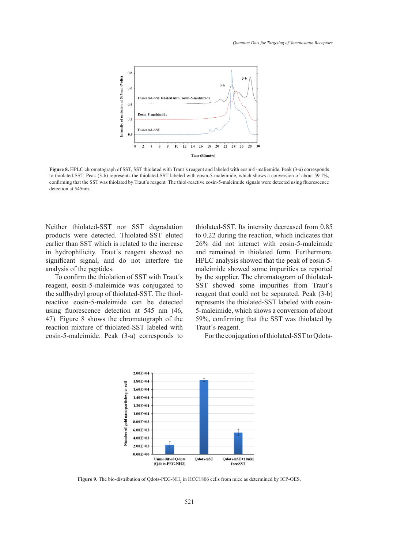

to thiolated-SST. Peak (3-b) represents the thiolated-SST labeled with eosin-5-malermide, which shows a conversion of about 59.1%, confirming that the SST was thiolated by Traut's reagent. The thiol-reactive eosin-5-maleimide signals were detected using fluorescence **Figure 8.** HPLC chromatograph of SST, SST thiolated with Traut´s reagent and labeled with eosin-5-maliemide. Peak (3-a) corresponds detection at 545nm.

Neither thiolated-SST nor SST degradation products were detected. Thiolated-SST eluted earlier than SST which is related to the increase in hydrophilicity. Traut´s reagent showed no significant signal, and do not interfere the analysis of the peptides.

To confirm the thiolation of SST with Traut´s reagent, eosin-5-maleimide was conjugated to the sulfhydryl group of thiolated-SST. The thiolreactive eosin-5-maleimide can be detected using fluorescence detection at 545 nm (46, 47). Figure 8 shows the chromatograph of the reaction mixture of thiolated-SST labeled with Traut's reagent. eosin-5-maleimide. Peak (3-a) corresponds to For the conjugation of thiolated-SST to Qdots

thiolated-SST. Its intensity decreased from 0.85 to 0.22 during the reaction, which indicates that 26% did not interact with eosin-5-maleimide drophilicity. Traut's reagent showed no and remained in thiolated form. Furthermore, HPLC analysis showed that the peak of eosin-5 maleimide showed that the peak of cosm-<br>lysis of the peptides. The unit is as reported maleimide showed some impurities as reported To confirm the thiolation of SST with Traut's by the supplier. The chromatogram of thiolatedgent, eosin-5-maleimide was conjugated to SST showed some impurities from Traut's reagent that could not be separated. Peak (3-b) ctive eosin-5-maleimide can be detected represents the thiolated-SST labeled with eosinng fluorescence detection at 545 nm (46, 5-maleimide, which shows a conversion of about  $\overline{S}$ 59%, confirming that the SST was thiolated by Traut´s reagent.

For the conjugation of thiolated-SST to Qdots-



**Figure 9.** The bio-distribution of Qdots-PEG-NH<sub>2</sub> in HCC1806 cells from mice as determined by ICP-OES.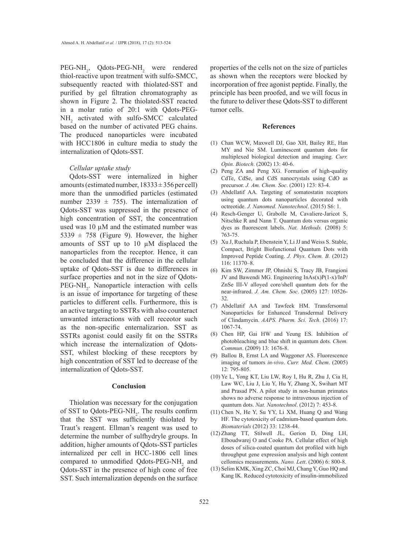PEG-NH<sub>2</sub>, Qdots-PEG-NH<sub>2</sub> were rendered thiol-reactive upon treatment with sulfo-SMCC, subsequently reacted with thiolated-SST and purified by gel filtration chromatography as shown in Figure 2. The thiolated-SST reacted in a molar ratio of 20:1 with Qdots-PEG- $NH<sub>2</sub>$  activated with sulfo-SMCC calculated based on the number of activated PEG chains. The produced nanoparticles were incubated with HCC1806 in culture media to study the internalization of Qdots-SST.

#### *Cellular uptake study*

Qdots-SST were internalized in higher amounts (estimated number,  $18333 \pm 356$  per cell) more than the unmodified particles (estimated number 2339  $\pm$  755). The internalization of Qdots-SST was suppressed in the presence of high concentration of SST, the concentration used was  $10 \mu M$  and the estimated number was 5339  $\pm$  758 (Figure 9). However, the higher amounts of SST up to 10 µM displaced the nanoparticles from the receptor. Hence, it can be concluded that the difference in the cellular uptake of Qdots-SST is due to differences in surface properties and not in the size of Qdots-PEG-NH<sub>2</sub>. Nanoparticle interaction with cells is an issue of importance for targeting of these particles to different cells. Furthermore, this is an active targeting to SSTRs with also counteract unwanted interactions with cell receotor such as the non-specific enternalizarion. SST as SSTRs agonist could easily fit on the SSTRs which increase the internalization of Qdots-SST, whilest blocking of these receptors by high concentration of SST led to decrease of the internalization of Qdots-SST.

## **Conclusion**

Thiolation was necessary for the conjugation of SST to Qdots-PEG-NH<sub>2</sub>. The results confirm that the SST was sufficiently thiolated by Traut's reagent. Ellman's reagent was used to determine the number of sulfhydryle groups. In addition, higher amounts of Qdots-SST particles internalized per cell in HCC-1806 cell lines compared to unmodified  $Q$ dots-PEG-NH<sub>2</sub> and Qdots-SST in the presence of high conc of free SST. Such internalization depends on the surface

properties of the cells not on the size of particles as shown when the receptors were blocked by incorporation of free agonist peptide. Finally, the principle has been proofed, and we will focus in the future to deliver these Qdots-SST to different tumor cells.

#### **References**

- Chan WCW, Maxwell DJ, Gao XH, Bailey RE, Han (1) MY and Nie SM. Luminescent quantum dots for multiplexed biological detection and imaging. *Curr. Opin. Biotech*. (2002) 13: 40-6.
- (2) Peng ZA and Peng XG. Formation of high-quality CdTe, CdSe, and CdS nanocrystals using CdO as precursor. *J. Am. Chem. Soc*. (2001) 123: 83-4.
- Abdellatif AA. Targeting of somatostatin receptors (3) using quantum dots nanoparticles decorated with octreotide. *J. Nanomed. Nanotechnol*. (2015) S6: 1.
- Resch-Genger U, Grabolle M, Cavaliere-Jaricot S, (4) Nitschke R and Nann T. Quantum dots versus organic dyes as fluorescent labels. *Nat. Methods.* (2008) 5: 763-75.
- $(5)$  Xu J, Ruchala P, Ebenstein Y, Li JJ and Weiss S. Stable, Compact, Bright Biofunctional Quantum Dots with Improved Peptide Coating. *J. Phys. Chem. B.* (2012) 116: 11370–8.
- (6) Kim SW, Zimmer JP, Ohnishi S, Tracy JB, Frangioni JV and Bawendi MG. Engineering InAs(x)P(1-x)/InP/ ZnSe III-V alloyed core/shell quantum dots for the near-infrared. *J. Am. Chem. Soc*. (2005) 127: 10526- 32.
- Abdellatif AA and Tawfeek HM. Transfersomal (7) Nanoparticles for Enhanced Transdermal Delivery of Clindamycin. *AAPS. Pharm. Sci. Tech*. (2016) 17: 1067-74.
- Chen HP, Gai HW and Yeung ES. Inhibition of (8) photobleaching and blue shift in quantum dots. *Chem. Commun*. (2009) 13: 1676-8.
- (9) Ballou B, Ernst LA and Waggoner AS. Fluorescence imaging of tumors *in-vivo*. *Curr. Med. Chem*. (2005) 12: 795-805.
- Ye L, Yong KT, Liu LW, Roy I, Hu R, Zhu J, Cia H, (10) Law WC, Liu J, Liu Y, Hu Y, Zhang X, Swihart MT and Prasad PN. A pilot study in non-human primates shows no adverse response to intravenous injection of quantum dots. *Nat. Nanotechnol*. (2012) 7: 453-8.
- $(11)$  Chen N, He Y, Su YY, Li XM, Huang Q and Wang HF. The cytotoxicity of cadmium-based quantum dots. *Biomaterials* (2012) 33: 1238-44.
- (12) Zhang TT, Stilwell JL, Gerion D, Ding LH, Elboudwarej O and Cooke PA. Cellular effect of high doses of silica-coated quantum dot profiled with high throughput gene expression analysis and high content cellomics measurements. *Nano. Lett*. (2006) 6: 800-8.
- (13) Selim KMK, Xing ZC, Choi MJ, Chang Y, Guo HQ and Kang IK. Reduced cytotoxicity of insulin-immobilized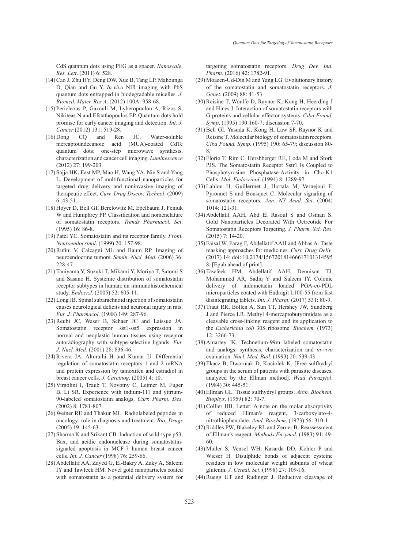CdS quantum dots using PEG as a spacer. *Nanoscale. Res. Lett*. (2011) 6: 528.

- (14) Cao J, Zhu HY, Deng DW, Xue B, Tang LP, Mahounga D, Qian and Gu Y. *In-vivo* NIR imaging with PbS quantum dots entrapped in biodegradable micelles. *J. Biomed. Mater. Res A*. (2012) 100A: 958-68.
- (15) Pericleous P, Gazouli M, Lyberopoulou A, Rizos S, Nikiteas N and Efstathopoulos EP. Quantum dots hold promise for early cancer imaging and detection. *Int. J. Cancer* (2012) 131: 519-28.
- CQ and Ren JC. Water-soluble mercaptoundecanoic acid (MUA)-coated CdTe quantum dots: one-step microwave synthesis, characterization and cancer cell imaging. *Luminescence* (2012) 27: 199-203.  $(16)$  Dong
- (17) Sajja HK, East MP, Mao H, Wang YA, Nie S and Yang L. Development of multifunctional nanoparticles for targeted drug delivery and noninvasive imaging of therapeutic effect. *Curr. Drug Discov. Technol*. (2009) 6: 43-51.
- (18) Hoyer D, Bell GI, Berelowitz M, Epelbaum J, Feniuk W and Humphrey PP. Classification and nomenclature of somatostatin receptors. *Trends Pharmacol. Sci*. (1995) 16: 86-8.
- (19) Patel YC. Somatostatin and its receptor family. *Front*. *Neuroendocrinol*. (1999) 20: 157-98.
- (20) Rufini V, Calcagni ML and Baum RP. Imaging of neuroendocrine tumors. *Semin. Nucl. Med*. (2006) 36: 228-47.
- (21) Taniyama Y, Suzuki T, Mikami Y, Moriya T, Satomi S and Sasano H. Systemic distribution of somatostatin receptor subtypes in human: an immunohistochemical study. *Endocr.J*. (2005) 52: 605-11.
- Long JB. Spinal subarachnoid injection of somatostatin (22) causes neurological deficits and neuronal injury in rats. *Eur. J. Pharmacol*. (1988) 149: 287-96.
- $(23)$  Reubi JC, Waser B, Schaer JC and Laissue JA. Somatostatin receptor sst1-sst5 expression in normal and neoplastic human tissues using receptor autoradiography with subtype-selective ligands. *Eur. J. Nucl. Med*. (2001) 28: 836-46.
- (24) Rivera JA, Alturaihi H and Kumar U. Differential regulation of somatostatin receptors 1 and 2 mRNA and protein expression by tamoxifen and estradiol in breast cancer cells. *J. Carcinog*. (2005) 4: 10.
- (25) Virgolini I, Traub T, Novotny C, Leimer M, Fuger B, Li SR. Experience with indium-111 and yttrium-90-labeled somatostatin analogs. *Curr. Pharm. Des*. (2002) 8: 1781-807.
- (26) Weiner RE and Thakur ML. Radiolabeled peptides in oncology: role in diagnosis and treatment. *Bio. Drugs* (2005) 19: 145-63.
- (27) Sharma K and Srikant CB. Induction of wild-type p53, Bax, and acidic endonuclease during somatostatinsignaled apoptosis in MCF-7 human breast cancer cells. *Int. J. Cancer* (1998) 76: 259-66.
- (28) Abdellatif AA, Zayed G, El-Bakry A, Zaky A, Saleem IY and Tawfeek HM. Novel gold nanoparticles coated with somatostatin as a potential delivery system for

targeting somatostatin receptors. *Drug Dev. Ind. Pharm*. (2016) 42: 1782-91.

- (29) Moaeen-Ud-Din M and Yang LG. Evolutionary history of the somatostatin and somatostatin receptors. *J. Genet*. (2009) 88: 41-53.
- (30) Reisine T, Woulfe D, Raynor K, Kong H, Heerding J and Hines J. Interaction of somatostatin receptors with G proteins and cellular effector systems. *Ciba Found. Symp*. (1995) 190:160-7; discussion 7-70.
- $(31)$  Bell GI, Yasuda K, Kong H, Law SF, Raynor K and Reisine T. Molecular biology of somatostatin receptors. *Ciba Found. Symp*. (1995) 190: 65-79; discussion 80- 8.
- Florio T, Rim C, Hershberger RE, Loda M and Stork (32) PJS. The Somatostatin Receptor Sstr1 Is Coupled to Phosphotyrosine Phosphatase-Activity in Cho-K1 Cells. *Mol. Endocrinol*. (1994) 8: 1289-97.
- Lahlou H, Guillermet J, Hortala M, Vernejoul F, (33) Pyronnet S and Bousquet C. Molecular signaling of somatostatin receptors. *Ann. NY Acad. Sci*. (2004) 1014: 121-31.
- Abdellatif AAH, Abd El Rasoul S and Osman S. (34) Gold Nanoparticles Decorated With Octreotide For Somatostatin Receptors Targeting. *J. Pharm. Sci. Res*. (2015) 7: 14-20.
- Faisal W, Farag F, Abdellatif AAH and Abbas A. Taste (35) masking approaches for medicines. *Curr. Drug Deliv*. (2017) 14: doi: 10.2174/156720181466617101314595 8. [Epub ahead of print].
- (36) Tawfeek HM, Abdellatif AAH, Dennison TJ, Mohammed AR, Sadiq Y and Saleem IY. Colonic delivery of indometacin loaded PGA-co-PDL microparticles coated with Eudragit L100-55 from fast disintegrating tablets. *Int. J. Pharm*. (2017) 531: 80-9.
- (37) Traut RR, Bollen A, Sun TT, Hershey JW, Sundberg J and Pierce LR. Methyl 4-mercaptobutyrimidate as a cleavable cross-linking reagent and its application to the *Escherichia coli* 30S ribosome. *Biochem.* (1973) 12: 3266-73.
- (38) Amartey JK. Technetium-99m labeled somatostatin and analogs: synthesis, characterization and *in-vivo* evaluation. *Nucl. Med. Biol*. (1993) 20: 539-43.
- (39) Tkacz B, Dworniak D, Kociolek K. [Free sulfhydryl groups in the serum of patients with parasitic diseases, analyzed by the Ellman method]. *Wiad Parazytol*. (1984) 30: 445-51.
- Ellman GL. Tissue sulfhydryl groups. *Arch. Biochem.*  (40) *Biophys*. (1959) 82: 70-7.
- $(41)$  Collier HB. Letter: A note on the molar absorptivity of reduced Ellmanʹs reagent, 3-carboxylato-4 nitrothiophenolate. *Anal. Biochem*. (1973) 56: 310-1.
- (42) Riddles PW, Blakeley RL and Zerner B. Reassessment of Ellmanʹs reagent. *Methods Enzymol*. (1983) 91: 49- 60.
- Muller S, Vensel WH, Kasarda DD, Kohler P and (43) Wieser H. Disulphide bonds of adjacent cysteine residues in low molecular weight subunits of wheat glutenin. *J. Cereal. Sci*. (1998) 27: 109-16.
- (44) Ruegg UT and Rudinger J. Reductive cleavage of